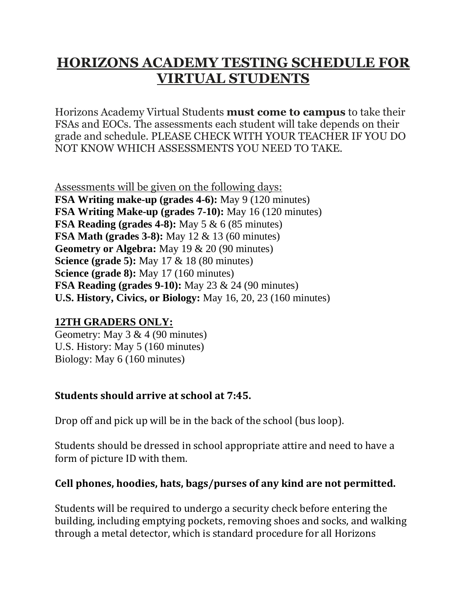## **HORIZONS ACADEMY TESTING SCHEDULE FOR VIRTUAL STUDENTS**

Horizons Academy Virtual Students **must come to campus** to take their FSAs and EOCs. The assessments each student will take depends on their grade and schedule. PLEASE CHECK WITH YOUR TEACHER IF YOU DO NOT KNOW WHICH ASSESSMENTS YOU NEED TO TAKE.

Assessments will be given on the following days: **FSA Writing make-up (grades 4-6):** May 9 (120 minutes) **FSA Writing Make-up (grades 7-10):** May 16 (120 minutes) **FSA Reading (grades 4-8):** May 5 & 6 (85 minutes) **FSA Math (grades 3-8):** May 12 & 13 (60 minutes) **Geometry or Algebra:** May 19 & 20 (90 minutes) **Science (grade 5):** May 17 & 18 (80 minutes) **Science (grade 8):** May 17 (160 minutes) **FSA Reading (grades 9-10):** May 23 & 24 (90 minutes) **U.S. History, Civics, or Biology:** May 16, 20, 23 (160 minutes)

## **12TH GRADERS ONLY:**

Geometry: May 3 & 4 (90 minutes) U.S. History: May 5 (160 minutes) Biology: May 6 (160 minutes)

## **Students should arrive at school at 7:45.**

Drop off and pick up will be in the back of the school (bus loop).

Students should be dressed in school appropriate attire and need to have a form of picture ID with them.

## **Cell phones, hoodies, hats, bags/purses of any kind are not permitted.**

Students will be required to undergo a security check before entering the building, including emptying pockets, removing shoes and socks, and walking through a metal detector, which is standard procedure for all Horizons